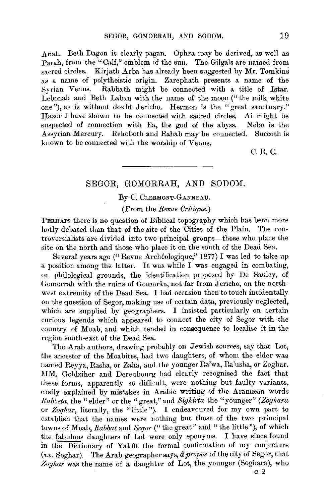Anat. Beth Dagon is clearly pagan. Ophra may be derived, as well as Parah, from the "Calf," emblem of the sun. The Gilgals are named from sacred circles. Kirjath Arba has already been suggested by Mr. Tomkins as a name of polytheistic origin. Zarephath presents a name of the Syrian Venus. Rabbath might be connected with a title of Istar. Lebonah and Beth Laban with the name of the moon ("the milk white one"), as is without doubt Jericho. Hermon is the "great sanctuary." Hazor I have shown to be connected with sacred circles. Ai might be suspected of connection with Ea, the god of the abyss. Nebo is the Assyrian Mercury. Rehoboth and Rahab may be connected. Succoth is known to be connected with the worship of Venus.

c. R. c.

## SEGOR, GOMORRAH, AND SODOM.

## By C. CLERMONT-GANNEAU.

(From the *Revue Critique.)* 

PERHAPS there is no question of Biblical topography which has been more hotly debated than that of the site of the Cities of the Plain. The controversialists are divined into two principal groups--those who place the site on the north and those who place it on the sonth of the Dead Sea.

Several years ago ("Revue Archeologique," 1877) I was led to take up a position among the latter. It was while I was engaged in combating, on philological grounds, the identification proposed by De Saulcy, of Gomorrah with the ruins of Goumran, not far from Jericho, on the northwest extremity of the Dead Sea. I had occasion then to touch incidentally on the question of Segor, making use of certain data, previously neglected, which are supplied by geographers. I insisted particularly on certain curious legends which appeared to connect the city of Segor with the country of Moab, and which tended in consequence to localise it in the region south-east of the Dead Sea.

The Arab authors, drawing probably on Jewish sources, say that Lot, the ancestor of the Moabites, had two daughters, of whom the elder was named Reyya, Rasha, or Zaha, and the younger Ra'wa, Ra'usha, or Zoghar. .!UM. Goldziher and Derenbourg had clearly recognised the fact that these forms, apparently so difficult, were nothing but faulty variants, easily explained by mistakes in Arabic writing of the Aramæan words *Rab'Jeta,* the "elder" or the "great," and *Sighirta* the "younger" *(Zoghara*  or *Zoghar,* literally, the "little"). I endeavoured for my own part to establish that the names were nothing but those of the two principal towns of Moab, *Rabbat* and *Segor* ("the great" and "the little"), of which the fabulous daughters of Lot were only eponyms. I have since found in the Dictionary of Yakut the formal confirmation of my conjecture (s.v. Soghar). The Arab geographer says, *a propos* of the city of Segor, that *Zoghar* was the name of a daughter of Lot, the younger (Soghara), who c 2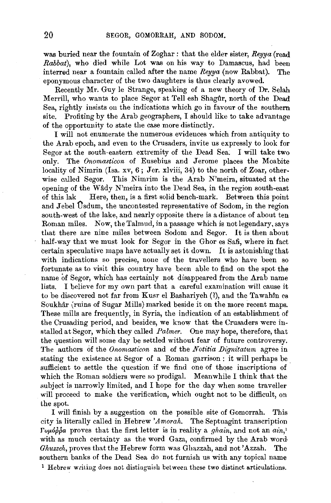was buried near the fountain of Zoghar *:* that the elder sister, *Reyya* (read *Rabbat),* who died while Lot was on his way to Damascus, had been interred near a fountain called after the name *Reyya* (now Rabbat). The eponymous character of the two daughters is thus clearly avowed.

Recently Mr. Guy le Strange, speaking of a new theory of Dr. Selah Merrill, who wants to place Segor at Tell esh Shagûr, north of the Dead Sea, rightly insists on the indications which go in favour of the southern site. Profiting by the Arab geographers, I should like to take advantage of the opportunity to state the case more distinctly.

I will not enumerate the numerous evidences which from antiquity to the Arab epoch, and even to the Crusaders, invite us expressly to look for Segor at the south-eastern extremity of the Dead Sea. I will take two only. The *Onomasticon* of Eusebius and Jerome places the Moabite locality of Nimrin (Isa. xv,  $6$ ; Jer. xlviii, 34) to the north of Zoar, otherwise called Segor. This Nimrim is the Arab N'meira, situated at the opening of the Wâdy N'meira into the Dead Sea, in the region south-east of this lak Here, then, is a first solid bench-mark. Between this point and Jebel Usdum, the uncontested representative of Sodom, in the region south-west of the lake, and nearly opposite there is a distance of about ten Roman miles. Now, the Talmud, in a passage which is not legendary, says that there are nine miles between Sodom and Segor. It *is* then about half-way that we must look for Segor in the Ghor es Safi, where in fact certain speculative maps have actually set it down. It is astonishing that with indications so precise, none of the travellers who have been so fortunate as to visit this country have been able to find on the spot the name of Segor, which has certainly not disappeared from the Arab name lists. I believe for my own part that a careful examination will cause it to be discovered not far from Kusr el Bashariyeh (?), and the Tawahîn es Soukhâr (ruins of Sugar Mills) marked beside it on the more recent maps. These mills are frequently, in Syria, the indication of an establishment of the Crusading period, and besides, we know that the Crusaders were installed at Segor, which they called *Palmer.* One may hope, therefore, that the question will some day be settled without fear of future controversy. The authors of the *Onomasticon* and of the *Notitia Dignitatum* agree in stating the existence at Segor of a Roman garrison *:* it will perhaps be . sufficient to settle the question if we find one of those inscriptions of which the Roman soldiers were so prodigal. Meanwhile I think that the subject is narrowly limited, and I hope for the day when some traveller will proceed to make the verification, which ought not to be difficult, on the spot.

I will finish by a suggestion on the possible site of Gomorrah. This city is literally called in Hebrew *'Amorah.* The Septuagint transcription *Γυμόρδα* proves that the first letter is in reality a *ghain*, and not an  $a$ in,<sup>1</sup> with as much certainty as the word Gaza, confirmed by the Arab word' *Ghuzzeh,* proves that the Hebrew form was Ghazzah, and not 'Azzah. The southern banks of the Dead Sea do not furnish us with any topical name

<sup>1</sup> Hebrew writing does not distinguish between these two distinct articulations.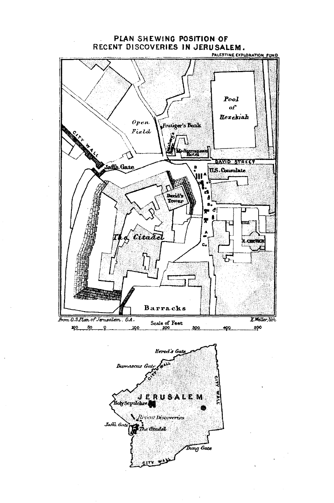